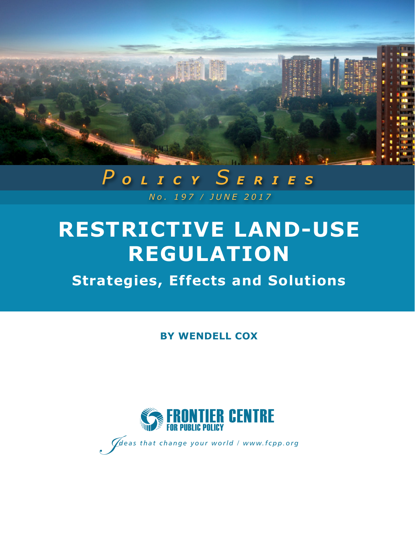

## *No. 197 / JUNE 2017 P OLICY S ERIES*

# **RESTRICTIVE LAND-USE REGULATION**

## **Strategies, Effects and Solutions**

**BY WENDELL COX**



I*<sup>I</sup> deas that change your world / www.fcpp.org*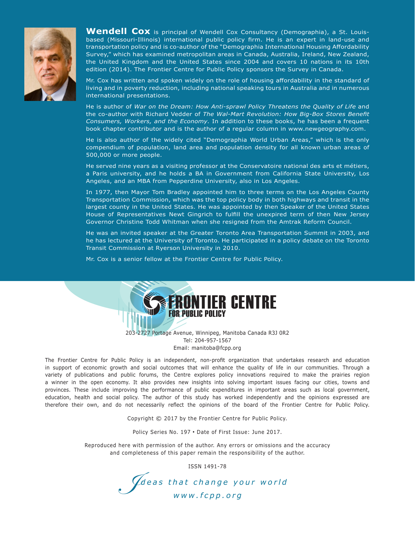

Wendell Cox is principal of Wendell Cox Consultancy (Demographia), a St. Louisbased (Missouri-Illinois) international public policy firm. He is an expert in land-use and transportation policy and is co-author of the "Demographia International Housing Affordability Survey," which has examined metropolitan areas in Canada, Australia, Ireland, New Zealand, the United Kingdom and the United States since 2004 and covers 10 nations in its 10th edition (2014). The Frontier Centre for Public Policy sponsors the Survey in Canada.

Mr. Cox has written and spoken widely on the role of housing affordability in the standard of living and in poverty reduction, including national speaking tours in Australia and in numerous international presentations.

He is author of *War on the Dream: How Anti-sprawl Policy Threatens the Quality of Life* and the co-author with Richard Vedder of *The Wal-Mart Revolution: How Big-Box Stores Benefit Consumers, Workers, and the Economy.* In addition to these books, he has been a frequent book chapter contributor and is the author of a regular column in www.newgeography.com.

He is also author of the widely cited "Demographia World Urban Areas," which is the only compendium of population, land area and population density for all known urban areas of 500,000 or more people.

He served nine years as a visiting professor at the Conservatoire national des arts et métiers, a Paris university, and he holds a BA in Government from California State University, Los Angeles, and an MBA from Pepperdine University, also in Los Angeles.

In 1977, then Mayor Tom Bradley appointed him to three terms on the Los Angeles County Transportation Commission, which was the top policy body in both highways and transit in the largest county in the United States. He was appointed by then Speaker of the United States House of Representatives Newt Gingrich to fulfill the unexpired term of then New Jersey Governor Christine Todd Whitman when she resigned from the Amtrak Reform Council.

He was an invited speaker at the Greater Toronto Area Transportation Summit in 2003, and he has lectured at the University of Toronto. He participated in a policy debate on the Toronto Transit Commission at Ryerson University in 2010.

Mr. Cox is a senior fellow at the Frontier Centre for Public Policy.



203-2727 Portage Avenue, Winnipeg, Manitoba Canada R3J 0R2 Tel: 204-957-1567 Email: manitoba@fcpp.org

The Frontier Centre for Public Policy is an independent, non-profit organization that undertakes research and education in support of economic growth and social outcomes that will enhance the quality of life in our communities. Through a variety of publications and public forums, the Centre explores policy innovations required to make the prairies region a winner in the open economy. It also provides new insights into solving important issues facing our cities, towns and provinces. These include improving the performance of public expenditures in important areas such as local government, education, health and social policy. The author of this study has worked independently and the opinions expressed are therefore their own, and do not necessarily reflect the opinions of the board of the Frontier Centre for Public Policy.

Copyright © 2017 by the Frontier Centre for Public Policy.

Policy Series No. 197 • Date of First Issue: June 2017.

Reproduced here with permission of the author. Any errors or omissions and the accuracy and completeness of this paper remain the responsibility of the author.

ISSN 1491-78

I*deas that change your world www.fcpp.org*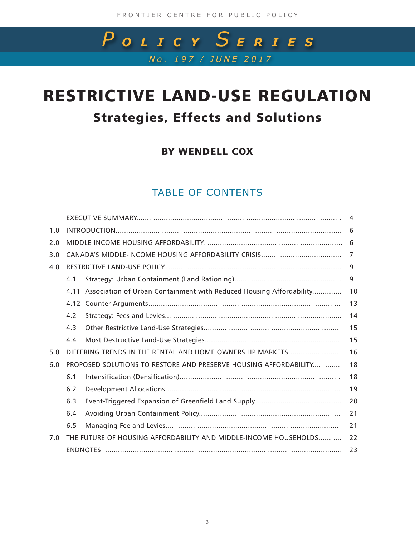## *No. 197 / JUNE 2017 P OLICY S ERIES*

## RESTRICTIVE LAND-USE REGULATION Strategies, Effects and Solutions

BY WENDELL COX

## TABLE OF CONTENTS

|     | 1.0 |                                                                  |                                                                          |    |
|-----|-----|------------------------------------------------------------------|--------------------------------------------------------------------------|----|
|     | 2.0 |                                                                  |                                                                          |    |
|     | 3.0 |                                                                  |                                                                          | 7  |
|     | 4.0 |                                                                  |                                                                          |    |
|     |     | 4.1                                                              |                                                                          | 9  |
|     |     |                                                                  | 4.11 Association of Urban Containment with Reduced Housing Affordability | 10 |
|     |     |                                                                  |                                                                          | 13 |
|     |     | 4.2                                                              |                                                                          | 14 |
|     |     | 4.3                                                              |                                                                          | 15 |
|     |     | 4.4                                                              |                                                                          | 15 |
|     | 5.0 | DIFFERING TRENDS IN THE RENTAL AND HOME OWNERSHIP MARKETS        |                                                                          | 16 |
|     | 6.0 |                                                                  | PROPOSED SOLUTIONS TO RESTORE AND PRESERVE HOUSING AFFORDABILITY         | 18 |
|     |     | 6.1                                                              |                                                                          | 18 |
|     |     | 6.2                                                              |                                                                          | 19 |
|     |     | 6.3                                                              |                                                                          | 20 |
|     |     | 6.4                                                              |                                                                          | 21 |
|     |     | 6.5                                                              |                                                                          | 21 |
| 7.0 |     | THE FUTURE OF HOUSING AFFORDABILITY AND MIDDLE-INCOME HOUSEHOLDS | 22                                                                       |    |
|     |     |                                                                  |                                                                          | 23 |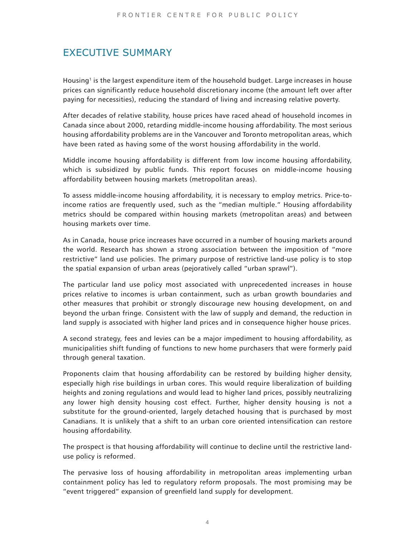## EXECUTIVE SUMMARY

Housing<sup>[1](#page-4-0)</sup> is the largest expenditure item of the household budget. Large increases in house prices can significantly reduce household discretionary income (the amount left over after paying for necessities), reducing the standard of living and increasing relative poverty.

After decades of relative stability, house prices have raced ahead of household incomes in Canada since about 2000, retarding middle-income housing affordability. The most serious housing affordability problems are in the Vancouver and Toronto metropolitan areas, which have been rated as having some of the worst housing affordability in the world.

Middle income housing affordability is different from low income housing affordability, which is subsidized by public funds. This report focuses on middle-income housing affordability between housing markets (metropolitan areas).

To assess middle-income housing affordability, it is necessary to employ metrics. Price-toincome ratios are frequently used, such as the "median multiple." Housing affordability metrics should be compared within housing markets (metropolitan areas) and between housing markets over time.

As in Canada, house price increases have occurred in a number of housing markets around the world. Research has shown a strong association between the imposition of "more restrictive" land use policies. The primary purpose of restrictive land-use policy is to stop the spatial expansion of urban areas (pejoratively called "urban sprawl").

The particular land use policy most associated with unprecedented increases in house prices relative to incomes is urban containment, such as urban growth boundaries and other measures that prohibit or strongly discourage new housing development, on and beyond the urban fringe. Consistent with the law of supply and demand, the reduction in land supply is associated with higher land prices and in consequence higher house prices.

A second strategy, fees and levies can be a major impediment to housing affordability, as municipalities shift funding of functions to new home purchasers that were formerly paid through general taxation.

Proponents claim that housing affordability can be restored by building higher density, especially high rise buildings in urban cores. This would require liberalization of building heights and zoning regulations and would lead to higher land prices, possibly neutralizing any lower high density housing cost effect. Further, higher density housing is not a substitute for the ground-oriented, largely detached housing that is purchased by most Canadians. It is unlikely that a shift to an urban core oriented intensification can restore housing affordability.

The prospect is that housing affordability will continue to decline until the restrictive landuse policy is reformed.

The pervasive loss of housing affordability in metropolitan areas implementing urban containment policy has led to regulatory reform proposals. The most promising may be "event triggered" expansion of greenfield land supply for development.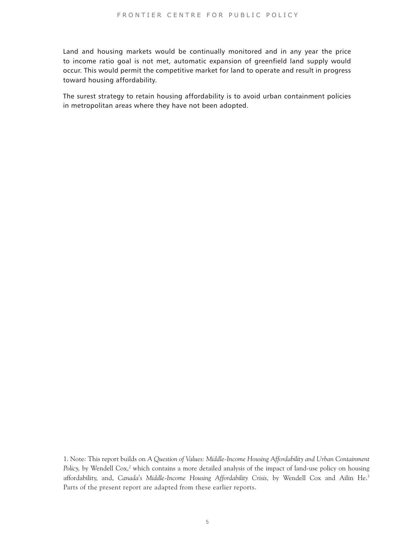Land and housing markets would be continually monitored and in any year the price to income ratio goal is not met, automatic expansion of greenfield land supply would occur. This would permit the competitive market for land to operate and result in progress toward housing affordability.

The surest strategy to retain housing affordability is to avoid urban containment policies in metropolitan areas where they have not been adopted.

<span id="page-4-0"></span>[1. N](#page-22-0)ote: This report builds on *A Question of Values: Middle-Income Housing Affordability and Urban Containment*  Policy, by Wendell Cox,<sup>2</sup> which contains a more detailed analysis of the impact of land-use policy on housing affordability, and, *Canada's Middle-Income Housing Affordability Crisis,* by Wendell Cox and Ailin He.[3](#page-22-2) Parts of the present report are adapted from these earlier reports.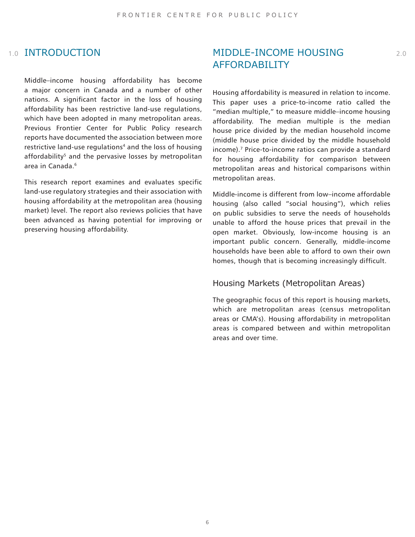## **1.0 INTRODUCTION**

<span id="page-5-2"></span><span id="page-5-0"></span>Middle–income housing affordability has become a major concern in Canada and a number of other nations. A significant factor in the loss of housing affordability has been restrictive land-use regulations, which have been adopted in many metropolitan areas. Previous Frontier Center for Public Policy research reports have documented the association between more restrictive land-use regulations<sup>4</sup> and the loss of housing affordability<sup>5</sup> and the pervasive losses by metropolitan area in Canada.[6](#page-22-5)

<span id="page-5-1"></span>This research report examines and evaluates specific land-use regulatory strategies and their association with housing affordability at the metropolitan area (housing market) level. The report also reviews policies that have been advanced as having potential for improving or preserving housing affordability.

## 1.0 INTRODUCTION MIDDLE-INCOME HOUSING 2.0 AFFORDABILITY

<span id="page-5-3"></span>Housing affordability is measured in relation to income. This paper uses a price-to-income ratio called the "median multiple," to measure middle–income housing affordability. The median multiple is the median house price divided by the median household income (middle house price divided by the middle household income).[7](#page-22-6) Price-to-income ratios can provide a standard for housing affordability for comparison between metropolitan areas and historical comparisons within metropolitan areas.

Middle-income is different from low–income affordable housing (also called "social housing"), which relies on public subsidies to serve the needs of households unable to afford the house prices that prevail in the open market. Obviously, low-income housing is an important public concern. Generally, middle-income households have been able to afford to own their own homes, though that is becoming increasingly difficult.

### Housing Markets (Metropolitan Areas)

The geographic focus of this report is housing markets, which are metropolitan areas (census metropolitan areas or CMA's). Housing affordability in metropolitan areas is compared between and within metropolitan areas and over time.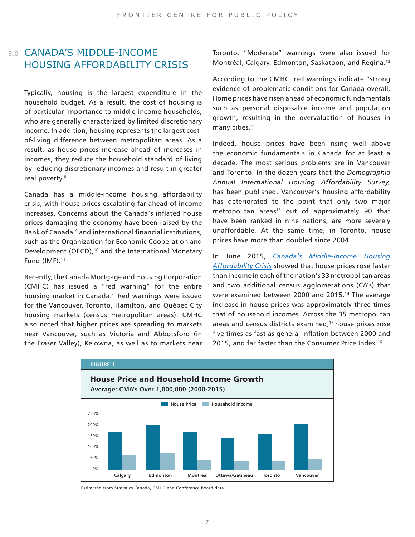## 3.0 CANADA'S MIDDLE-INCOME HOUSING AFFORDABILITY CRISIS

<span id="page-6-0"></span>Typically, housing is the largest expenditure in the household budget. As a result, the cost of housing is of particular importance to middle-income households, who are generally characterized by limited discretionary income. In addition, housing represents the largest costof-living difference between metropolitan areas. As a result, as house prices increase ahead of increases in incomes, they reduce the household standard of living by reducing discretionary incomes and result in greater real poverty.<sup>[8](#page-22-7)</sup>

<span id="page-6-3"></span><span id="page-6-2"></span><span id="page-6-1"></span>Canada has a middle-income housing affordability crisis, with house prices escalating far ahead of income increases. Concerns about the Canada's inflated house prices damaging the economy have been raised by the Bank of Canada,<sup>9</sup> and international financial institutions, such as the Organization for Economic Cooperation and Development (OECD),<sup>[10](#page-22-9)</sup> and the International Monetary Fund  $(IMF).<sup>11</sup>$  $(IMF).<sup>11</sup>$  $(IMF).<sup>11</sup>$ 

Recently, the Canada Mortgage and Housing Corporation (CMHC) has issued a "red warning" for the entire housing market in Canada." Red warnings were issued for the Vancouver, Toronto, Hamilton, and Québec City housing markets (census metropolitan areas). CMHC also noted that higher prices are spreading to markets near Vancouver, such as Victoria and Abbotsford (in the Fraser Valley), Kelowna, as well as to markets near

<span id="page-6-4"></span>Toronto. "Moderate" warnings were also issued for Montréal, Calgary, Edmonton, Saskatoon, and Regina.[12](#page-22-11)

According to the CMHC, red warnings indicate "strong evidence of problematic conditions for Canada overall. Home prices have risen ahead of economic fundamentals such as personal disposable income and population growth, resulting in the overvaluation of houses in many cities."

<span id="page-6-5"></span>Indeed, house prices have been rising well above the economic fundamentals in Canada for at least a decade. The most serious problems are in Vancouver and Toronto. In the dozen years that the *Demographia Annual International Housing Affordability Survey,*  has been published, Vancouver's housing affordability has deteriorated to the point that only two major metropolitan areas<sup>13</sup> out of approximately 90 that have been ranked in nine nations, are more severely unaffordable. At the same time, in Toronto, house prices have more than doubled since 2004.

<span id="page-6-8"></span><span id="page-6-7"></span><span id="page-6-6"></span>In June 2015, *[Canada's Middle-Income Housing](https://fcpp.org/sites/default/files/documents/Cox %26 He - Middle-Income Housing Crisis.pdf) [Affordability Crisis](https://fcpp.org/sites/default/files/documents/Cox %26 He - Middle-Income Housing Crisis.pdf)* showed that house prices rose faster than income in each of the nation's 33 metropolitan areas and two additional census agglomerations (CA's) that were examined between 2000 and 2015.<sup>14</sup> The average increase in house prices was approximately three times that of household incomes. Across the 35 metropolitan areas and census districts examined,<sup>[15](#page-22-14)</sup> house prices rose five times as fast as general inflation between 2000 and 2015, and far faster than the Consumer Price Index.[16](#page-22-15)



Estimated from Statistics Canada, CMHC and Conference Board data.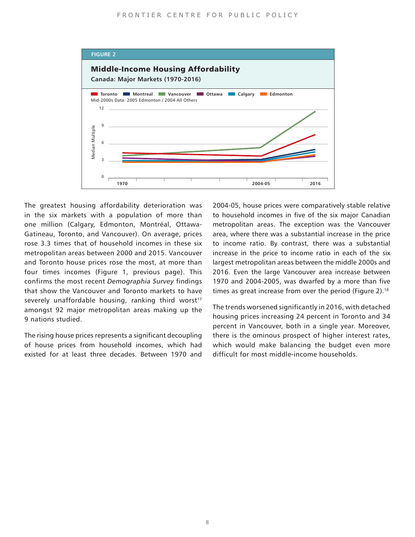

<span id="page-7-0"></span>The greatest housing affordability deterioration was in the six markets with a population of more than one million (Calgary, Edmonton, Montréal, Ottawa-Gatineau, Toronto, and Vancouver). On average, prices rose 3.3 times that of household incomes in these six metropolitan areas between 2000 and 2015. Vancouver and Toronto house prices rose the most, at more than four times incomes (Figure 1, previous page). This confirms the most recent *Demographia Survey* findings that show the Vancouver and Toronto markets to have severely unaffordable housing, ranking third worst<sup>[17](#page-22-16)</sup> amongst 92 major metropolitan areas making up the 9 nations studied.

The rising house prices represents a significant decoupling of house prices from household incomes, which had existed for at least three decades. Between 1970 and

<span id="page-7-1"></span>2004-05, house prices were comparatively stable relative to household incomes in five of the six major Canadian metropolitan areas. The exception was the Vancouver area, where there was a substantial increase in the price to income ratio. By contrast, there was a substantial increase in the price to income ratio in each of the six largest metropolitan areas between the middle 2000s and 2016. Even the large Vancouver area increase between 1970 and 2004-2005, was dwarfed by a more than five times as great increase from over the period (Figure 2).<sup>[18](#page-22-17)</sup>

The trends worsened significantly in 2016, with detached housing prices increasing 24 percent in Toronto and 34 percent in Vancouver, both in a single year. Moreover, there is the ominous prospect of higher interest rates, which would make balancing the budget even more difficult for most middle-income households.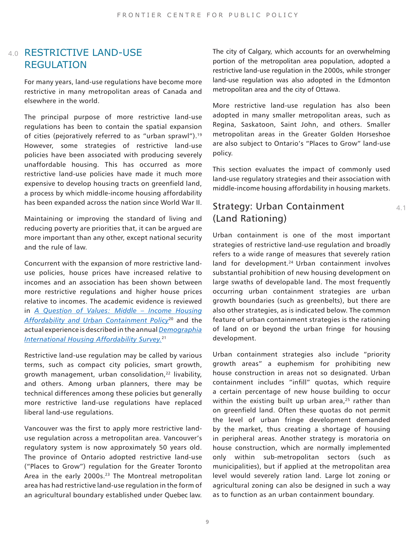## 4.0 RESTRICTIVE LAND-USE **REGULATION**

For many years, land-use regulations have become more restrictive in many metropolitan areas of Canada and elsewhere in the world.

<span id="page-8-0"></span>The principal purpose of more restrictive land-use regulations has been to contain the spatial expansion of cities (pejoratively referred to as "urban sprawl").<sup>[19](#page-22-18)</sup> However, some strategies of restrictive land-use policies have been associated with producing severely unaffordable housing. This has occurred as more restrictive land-use policies have made it much more expensive to develop housing tracts on greenfield land, a process by which middle-income housing affordability has been expanded across the nation since World War II.

Maintaining or improving the standard of living and reducing poverty are priorities that, it can be argued are more important than any other, except national security and the rule of law.

<span id="page-8-2"></span><span id="page-8-1"></span>Concurrent with the expansion of more restrictive landuse policies, house prices have increased relative to incomes and an association has been shown between more restrictive regulations and higher house prices relative to incomes. The academic evidence is reviewed in *[A Question of Values: Middle – Income Housing](https://fcpp.org/a_question_of_values) [Affordability and Urban Containment Policy](https://fcpp.org/a_question_of_values)*[20](#page-22-19) and the actual experience is described in the annual *[Demographia](http://www.demographia.com/dhi.pdf) [International Housing Affordability Survey.](http://www.demographia.com/dhi.pdf)*[21](#page-22-20)

<span id="page-8-3"></span>Restrictive land-use regulation may be called by various terms, such as compact city policies, smart growth, growth management, urban consolidation,<sup>22</sup> livability, and others. Among urban planners, there may be technical differences among these policies but generally more restrictive land-use regulations have replaced liberal land-use regulations.

<span id="page-8-4"></span>Vancouver was the first to apply more restrictive landuse regulation across a metropolitan area. Vancouver's regulatory system is now approximately 50 years old. The province of Ontario adopted restrictive land-use ("Places to Grow") regulation for the Greater Toronto Area in the early 2000s.<sup>[23](#page-22-22)</sup> The Montreal metropolitan area has had restrictive land-use regulation in the form of an agricultural boundary established under Quebec law. The city of Calgary, which accounts for an overwhelming portion of the metropolitan area population, adopted a restrictive land-use regulation in the 2000s, while stronger land-use regulation was also adopted in the Edmonton metropolitan area and the city of Ottawa.

More restrictive land-use regulation has also been adopted in many smaller metropolitan areas, such as Regina, Saskatoon, Saint John, and others. Smaller metropolitan areas in the Greater Golden Horseshoe are also subject to Ontario's "Places to Grow" land-use policy.

This section evaluates the impact of commonly used land-use regulatory strategies and their association with middle-income housing affordability in housing markets.

## Strategy: Urban Containment (Land Rationing)

<span id="page-8-5"></span>Urban containment is one of the most important strategies of restrictive land-use regulation and broadly refers to a wide range of measures that severely ration land for development.<sup>[24](#page-22-23)</sup> Urban containment involves substantial prohibition of new housing development on large swaths of developable land. The most frequently occurring urban containment strategies are urban growth boundaries (such as greenbelts), but there are also other strategies, as is indicated below. The common feature of urban containment strategies is the rationing of land on or beyond the urban fringe for housing development.

<span id="page-8-6"></span>Urban containment strategies also include "priority growth areas" a euphemism for prohibiting new house construction in areas not so designated. Urban containment includes "infill" quotas, which require a certain percentage of new house building to occur within the existing built up urban area, $25$  rather than on greenfield land. Often these quotas do not permit the level of urban fringe development demanded by the market, thus creating a shortage of housing in peripheral areas. Another strategy is moratoria on house construction, which are normally implemented only within sub-metropolitan sectors (such as municipalities), but if applied at the metropolitan area level would severely ration land. Large lot zoning or agricultural zoning can also be designed in such a way as to function as an urban containment boundary.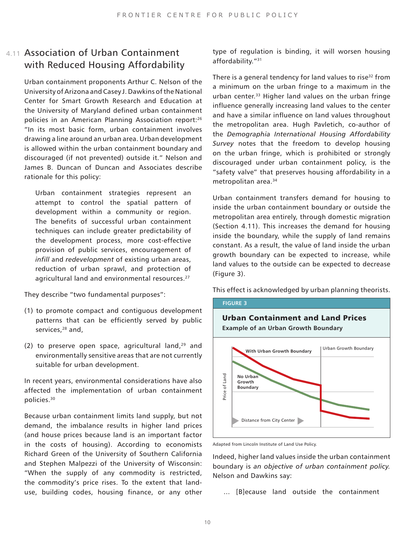## 4.11 Association of Urban Containment with Reduced Housing Affordability

<span id="page-9-0"></span>Urban containment proponents Arthur C. Nelson of the University of Arizona and Casey J. Dawkins of the National Center for Smart Growth Research and Education at the University of Maryland defined urban containment policies in an American Planning Association report[:26](#page-23-1) "In its most basic form, urban containment involves drawing a line around an urban area. Urban development is allowed within the urban containment boundary and discouraged (if not prevented) outside it." Nelson and James B. Duncan of Duncan and Associates describe rationale for this policy:

<span id="page-9-1"></span>Urban containment strategies represent an attempt to control the spatial pattern of development within a community or region. The benefits of successful urban containment techniques can include greater predictability of the development process, more cost-effective provision of public services, encouragement of *infill* and *redevelopment* of existing urban areas, reduction of urban sprawl, and protection of agricultural land and environmental resources.<sup>[27](#page-23-2)</sup>

<span id="page-9-2"></span>They describe "two fundamental purposes":

- <span id="page-9-3"></span>(1) to promote compact and contiguous development patterns that can be efficiently served by public services,<sup>28</sup> and,
- <span id="page-9-4"></span>(2) to preserve open space, agricultural land, $29$  and environmentally sensitive areas that are not currently suitable for urban development.

In recent years, environmental considerations have also affected the implementation of urban containment policies[.30](#page-23-5)

Because urban containment limits land supply, but not demand, the imbalance results in higher land prices (and house prices because land is an important factor in the costs of housing). According to economists Richard Green of the University of Southern California and Stephen Malpezzi of the University of Wisconsin: "When the supply of any commodity is restricted, the commodity's price rises. To the extent that landuse, building codes, housing finance, or any other <span id="page-9-6"></span><span id="page-9-5"></span>type of regulation is binding, it will worsen housing affordability."<sup>[31](#page-23-6)</sup>

<span id="page-9-8"></span><span id="page-9-7"></span>There is a general tendency for land values to rise<sup>32</sup> from a minimum on the urban fringe to a maximum in the urban center.<sup>33</sup> Higher land values on the urban fringe influence generally increasing land values to the center and have a similar influence on land values throughout the metropolitan area. Hugh Pavletich, co-author of the *Demographia International Housing Affordability Survey* notes that the freedom to develop housing on the urban fringe, which is prohibited or strongly discouraged under urban containment policy, is the "safety valve" that preserves housing affordability in a metropolitan area.[34](#page-23-9)

Urban containment transfers demand for housing to inside the urban containment boundary or outside the metropolitan area entirely, through domestic migration (Section 4.11). This increases the demand for housing inside the boundary, while the supply of land remains constant. As a result, the value of land inside the urban growth boundary can be expected to increase, while land values to the outside can be expected to decrease (Figure 3).

This effect is acknowledged by urban planning theorists.

#### **FIGURE 3**



Indeed, higher land values inside the urban containment boundary is *an objective of urban containment policy.*  Nelson and Dawkins say:

... [B]ecause land outside the containment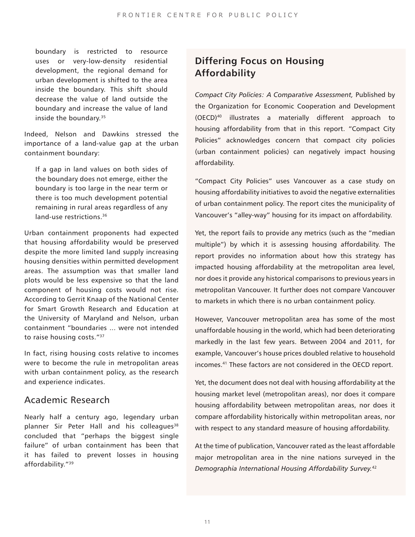<span id="page-10-0"></span>boundary is restricted to resource uses or very-low-density residential development, the regional demand for urban development is shifted to the area inside the boundary. This shift should decrease the value of land outside the boundary and increase the value of land inside the boundary.<sup>[35](#page-23-12)</sup>

Indeed, Nelson and Dawkins stressed the importance of a land-value gap at the urban containment boundary:

<span id="page-10-1"></span>If a gap in land values on both sides of the boundary does not emerge, either the boundary is too large in the near term or there is too much development potential remaining in rural areas regardless of any land-use restrictions.<sup>[36](#page-23-13)</sup>

<span id="page-10-2"></span>Urban containment proponents had expected that housing affordability would be preserved despite the more limited land supply increasing housing densities within permitted development areas. The assumption was that smaller land plots would be less expensive so that the land component of housing costs would not rise. According to Gerrit Knaap of the National Center for Smart Growth Research and Education at the University of Maryland and Nelson, urban containment "boundaries ... were not intended to raise housing costs.["37](#page-23-14)

In fact, rising housing costs relative to incomes were to become the rule in metropolitan areas with urban containment policy, as the research and experience indicates.

## <span id="page-10-3"></span>Academic Research

<span id="page-10-4"></span>Nearly half a century ago, legendary urban planner Sir Peter Hall and his colleagues<sup>[38](#page-23-15)</sup> concluded that "perhaps the biggest single failure" of urban containment has been that it has failed to prevent losses in housing affordability."[39](#page-23-16) 

## **Differing Focus on Housing Affordability**

<span id="page-10-5"></span>*Compact City Policies: A Comparative Assessment,* Published by the Organization for Economic Cooperation and Development (OECD)[40](#page-23-10) illustrates a materially different approach to housing affordability from that in this report. "Compact City Policies" acknowledges concern that compact city policies (urban containment policies) can negatively impact housing affordability.

"Compact City Policies" uses Vancouver as a case study on housing affordability initiatives to avoid the negative externalities of urban containment policy. The report cites the municipality of Vancouver's "alley-way" housing for its impact on affordability.

Yet, the report fails to provide any metrics (such as the "median multiple") by which it is assessing housing affordability. The report provides no information about how this strategy has impacted housing affordability at the metropolitan area level, nor does it provide any historical comparisons to previous years in metropolitan Vancouver. It further does not compare Vancouver to markets in which there is no urban containment policy.

<span id="page-10-6"></span>However, Vancouver metropolitan area has some of the most unaffordable housing in the world, which had been deteriorating markedly in the last few years. Between 2004 and 2011, for example, Vancouver's house prices doubled relative to household incomes.[41](#page-23-11) These factors are not considered in the OECD report.

Yet, the document does not deal with housing affordability at the housing market level (metropolitan areas), nor does it compare housing affordability between metropolitan areas, nor does it compare affordability historically within metropolitan areas, nor with respect to any standard measure of housing affordability.

<span id="page-10-7"></span>At the time of publication, Vancouver rated as the least affordable major metropolitan area in the nine nations surveyed in the *Demographia International Housing Affordability Survey.*[42](#page-23-11)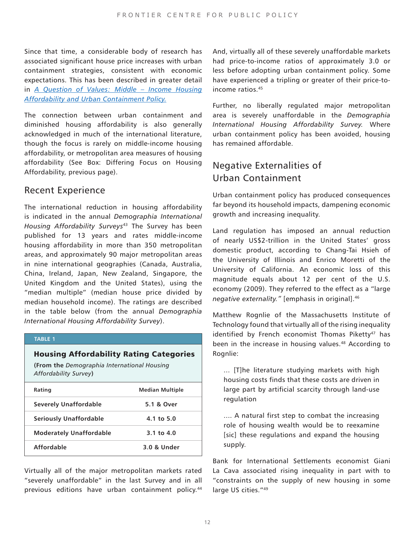Since that time, a considerable body of research has associated significant house price increases with urban containment strategies, consistent with economic expectations. This has been described in greater detail in *[A Question of Values: Middle – Income Housing](https://fcpp.org/a_question_of_values) [Affordability and Urban Containment Policy.](https://fcpp.org/a_question_of_values)*

The connection between urban containment and diminished housing affordability is also generally acknowledged in much of the international literature, though the focus is rarely on middle-income housing affordability, or metropolitan area measures of housing affordability (See Box: Differing Focus on Housing Affordability, previous page).

## <span id="page-11-0"></span>Recent Experience

The international reduction in housing affordability is indicated in the annual *Demographia International Housing Affordability Surveys*[43](#page-23-17) The Survey has been published for 13 years and rates middle-income housing affordability in more than 350 metropolitan areas, and approximately 90 major metropolitan areas in nine international geographies (Canada, Australia, China, Ireland, Japan, New Zealand, Singapore, the United Kingdom and the United States), using the "median multiple" (median house price divided by median household income). The ratings are described in the table below (from the annual *Demographia International Housing Affordability Survey*).

#### **TABLE 1**

#### Housing Affordability Rating Categories

**(From the** *Demographia International Housing Affordability Survey***)**

| Rating                         | <b>Median Multiple</b> |
|--------------------------------|------------------------|
| Severely Unaffordable          | 5.1 & Over             |
| <b>Seriously Unaffordable</b>  | 4.1 to 5.0             |
| <b>Moderately Unaffordable</b> | 3.1 to $4.0$           |
| <b>Affordable</b>              | 3.0 & Under            |

<span id="page-11-1"></span>Virtually all of the major metropolitan markets rated "severely unaffordable" in the last Survey and in all previous editions have urban containment policy.<sup>44</sup>

<span id="page-11-2"></span>And, virtually all of these severely unaffordable markets had price-to-income ratios of approximately 3.0 or less before adopting urban containment policy. Some have experienced a tripling or greater of their price-to-income ratios.<sup>[45](#page-23-19)</sup>

Further, no liberally regulated major metropolitan area is severely unaffordable in the *Demographia International Housing Affordability Survey.* Where urban containment policy has been avoided, housing has remained affordable.

## Negative Externalities of Urban Containment

Urban containment policy has produced consequences far beyond its household impacts, dampening economic growth and increasing inequality.

<span id="page-11-3"></span>Land regulation has imposed an annual reduction of nearly US\$2-trillion in the United States' gross domestic product, according to Chang-Tai Hsieh of the University of Illinois and Enrico Moretti of the University of California. An economic loss of this magnitude equals about 12 per cent of the U.S. economy (2009). They referred to the effect as a "large *negative externality."* [emphasis in original].[46](#page-23-20)

<span id="page-11-5"></span><span id="page-11-4"></span>Matthew Rognlie of the Massachusetts Institute of Technology found that virtually all of the rising inequality identified by French economist Thomas Piketty<sup>47</sup> has been in the increase in housing values.<sup>[48](#page-24-0)</sup> According to Rognlie:

... [T]he literature studying markets with high housing costs finds that these costs are driven in large part by artificial scarcity through land-use regulation

.... A natural first step to combat the increasing role of housing wealth would be to reexamine [sic] these regulations and expand the housing supply.

<span id="page-11-6"></span>Bank for International Settlements economist Giani La Cava associated rising inequality in part with to "constraints on the supply of new housing in some large US cities."<sup>[49](#page-24-1)</sup>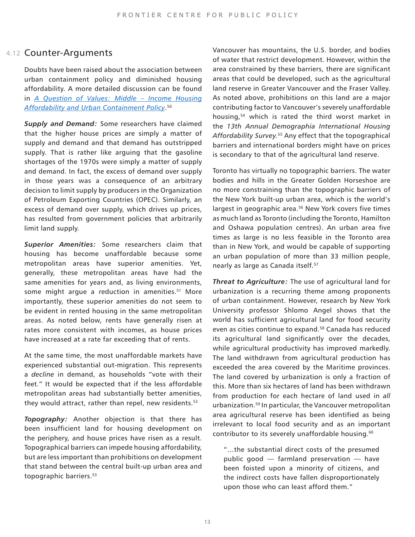### 4.12 Counter-Arguments

<span id="page-12-0"></span>Doubts have been raised about the association between urban containment policy and diminished housing affordability. A more detailed discussion can be found in *[A Question of Values: Middle – Income Housing](https://fcpp.org/a_question_of_values) [Affordability and Urban Containment Policy](https://fcpp.org/a_question_of_values)*. [50](#page-24-2)

*Supply and Demand:* Some researchers have claimed that the higher house prices are simply a matter of supply and demand and that demand has outstripped supply. That is rather like arguing that the gasoline shortages of the 1970s were simply a matter of supply and demand. In fact, the excess of demand over supply in those years was a consequence of an arbitrary decision to limit supply by producers in the Organization of Petroleum Exporting Countries (OPEC). Similarly, an excess of demand over supply, which drives up prices, has resulted from government policies that arbitrarily limit land supply.

<span id="page-12-1"></span>*Superior Amenities:* Some researchers claim that housing has become unaffordable because some metropolitan areas have superior amenities. Yet, generally, these metropolitan areas have had the same amenities for years and, as living environments, some might argue a reduction in amenities.<sup>51</sup> More importantly, these superior amenities do not seem to be evident in rented housing in the same metropolitan areas. As noted below, rents have generally risen at rates more consistent with incomes, as house prices have increased at a rate far exceeding that of rents.

<span id="page-12-2"></span>At the same time, the most unaffordable markets have experienced substantial out-migration. This represents a *decline* in demand, as households "vote with their feet." It would be expected that if the less affordable metropolitan areas had substantially better amenities, they would attract, rather than repel, new residents.<sup>[52](#page-24-4)</sup>

<span id="page-12-3"></span>*Topography:* Another objection is that there has been insufficient land for housing development on the periphery, and house prices have risen as a result. Topographical barriers can impede housing affordability, but are less important than prohibitions on development that stand between the central built-up urban area and topographic barriers.<sup>53</sup>

<span id="page-12-4"></span>Vancouver has mountains, the U.S. border, and bodies of water that restrict development. However, within the area constrained by these barriers, there are significant areas that could be developed, such as the agricultural land reserve in Greater Vancouver and the Fraser Valley. As noted above, prohibitions on this land are a major contributing factor to Vancouver's severely unaffordable housing,[54](#page-24-6) which is rated the third worst market in the *13th Annual Demographia International Housing Affordability Survey.*[55](#page-24-7) Any effect that the topographical barriers and international borders might have on prices is secondary to that of the agricultural land reserve.

<span id="page-12-7"></span><span id="page-12-6"></span><span id="page-12-5"></span>Toronto has virtually no topographic barriers. The water bodies and hills in the Greater Golden Horseshoe are no more constraining than the topographic barriers of the New York built-up urban area, which is the world's largest in geographic area.<sup>56</sup> New York covers five times as much land as Toronto (including the Toronto, Hamilton and Oshawa population centres). An urban area five times as large is no less feasible in the Toronto area than in New York, and would be capable of supporting an urban population of more than 33 million people, nearly as large as Canada itself.<sup>57</sup>

<span id="page-12-8"></span>*Threat to Agriculture:* The use of agricultural land for urbanization is a recurring theme among proponents of urban containment. However, research by New York University professor Shlomo Angel shows that the world has sufficient agricultural land for food security even as cities continue to expand.<sup>58</sup> Canada has reduced its agricultural land significantly over the decades, while agricultural productivity has improved markedly. The land withdrawn from agricultural production has exceeded the area covered by the Maritime provinces. The land covered by urbanization is only a fraction of this. More than six hectares of land has been withdrawn from production for each hectare of land used in *all*  urbanization.[59](#page-24-11) In particular, the Vancouver metropolitan area agricultural reserve has been identified as being irrelevant to local food security and as an important contributor to its severely unaffordable housing.<sup>[60](#page-24-12)</sup>

<span id="page-12-10"></span><span id="page-12-9"></span>"…the substantial direct costs of the presumed public good — farmland preservation — have been foisted upon a minority of citizens, and the indirect costs have fallen disproportionately upon those who can least afford them."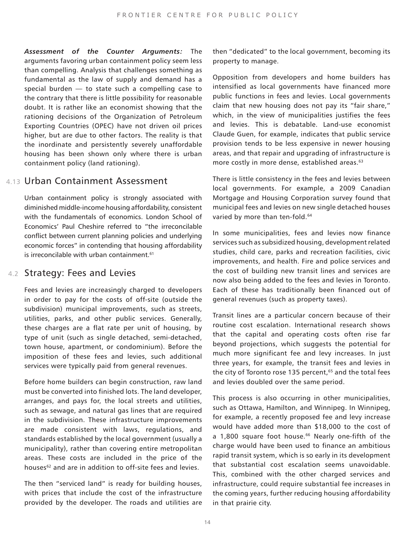*Assessment of the Counter Arguments:* The arguments favoring urban containment policy seem less than compelling. Analysis that challenges something as fundamental as the law of supply and demand has a special burden — to state such a compelling case to the contrary that there is little possibility for reasonable doubt. It is rather like an economist showing that the rationing decisions of the Organization of Petroleum Exporting Countries (OPEC) have not driven oil prices higher, but are due to other factors. The reality is that the inordinate and persistently severely unaffordable housing has been shown only where there is urban containment policy (land rationing).

### 4.13 Urban Containment Assessment

<span id="page-13-0"></span>Urban containment policy is strongly associated with diminished middle-income housing affordability, consistent with the fundamentals of economics. London School of Economics' Paul Cheshire referred to "the irreconcilable conflict between current planning policies and underlying economic forces" in contending that housing affordability is irreconcilable with urban containment.<sup>[61](#page-24-13)</sup>

## 4.2 Strategy: Fees and Levies

Fees and levies are increasingly charged to developers in order to pay for the costs of off-site (outside the subdivision) municipal improvements, such as streets, utilities, parks, and other public services. Generally, these charges are a flat rate per unit of housing, by type of unit (such as single detached, semi-detached, town house, apartment, or condominium). Before the imposition of these fees and levies, such additional services were typically paid from general revenues.

<span id="page-13-1"></span>Before home builders can begin construction, raw land must be converted into finished lots. The land developer, arranges, and pays for, the local streets and utilities, such as sewage, and natural gas lines that are required in the subdivision. These infrastructure improvements are made consistent with laws, regulations, and standards established by the local government (usually a municipality), rather than covering entire metropolitan areas. These costs are included in the price of the houses<sup>62</sup> and are in addition to off-site fees and levies.

The then "serviced land" is ready for building houses, with prices that include the cost of the infrastructure provided by the developer. The roads and utilities are then "dedicated" to the local government, becoming its property to manage.

<span id="page-13-2"></span>Opposition from developers and home builders has intensified as local governments have financed more public functions in fees and levies. Local governments claim that new housing does not pay its "fair share," which, in the view of municipalities justifies the fees and levies. This is debatable. Land-use economist Claude Guen, for example, indicates that public service provision tends to be less expensive in newer housing areas, and that repair and upgrading of infrastructure is more costly in more dense, established areas.<sup>63</sup>

<span id="page-13-3"></span>There is little consistency in the fees and levies between local governments. For example, a 2009 Canadian Mortgage and Housing Corporation survey found that municipal fees and levies on new single detached houses varied by more than ten-fold.<sup>[64](#page-24-16)</sup>

In some municipalities, fees and levies now finance services such as subsidized housing, development related studies, child care, parks and recreation facilities, civic improvements, and health. Fire and police services and the cost of building new transit lines and services are now also being added to the fees and levies in Toronto. Each of these has traditionally been financed out of general revenues (such as property taxes).

<span id="page-13-4"></span>Transit lines are a particular concern because of their routine cost escalation. International research shows that the capital and operating costs often rise far beyond projections, which suggests the potential for much more significant fee and levy increases. In just three years, for example, the transit fees and levies in the city of Toronto rose 135 percent, $65$  and the total fees and levies doubled over the same period.

<span id="page-13-5"></span>This process is also occurring in other municipalities, such as Ottawa, Hamilton, and Winnipeg. In Winnipeg, for example, a recently proposed fee and levy increase would have added more than \$18,000 to the cost of a 1,800 square foot house.<sup>66</sup> Nearly one-fifth of the charge would have been used to finance an ambitious rapid transit system, which is so early in its development that substantial cost escalation seems unavoidable. This, combined with the other charged services and infrastructure, could require substantial fee increases in the coming years, further reducing housing affordability in that prairie city.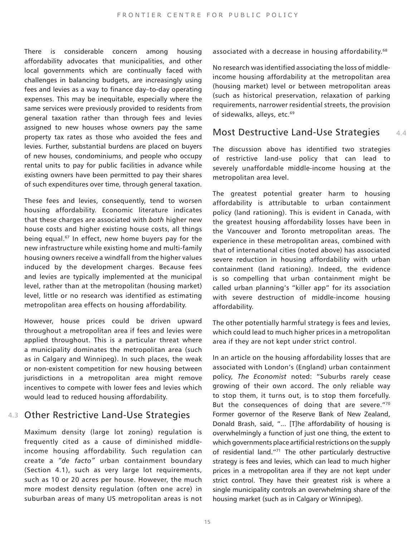There is considerable concern among housing affordability advocates that municipalities, and other local governments which are continually faced with challenges in balancing budgets, are increasingly using fees and levies as a way to finance day–to-day operating expenses. This may be inequitable, especially where the same services were previously provided to residents from general taxation rather than through fees and levies assigned to new houses whose owners pay the same property tax rates as those who avoided the fees and levies. Further, substantial burdens are placed on buyers of new houses, condominiums, and people who occupy rental units to pay for public facilities in advance while existing owners have been permitted to pay their shares of such expenditures over time, through general taxation.

<span id="page-14-0"></span>These fees and levies, consequently, tend to worsen housing affordability. Economic literature indicates that these charges are associated with *both* higher new house costs and higher existing house costs, all things being equal.<sup>67</sup> In effect, new home buyers pay for the new infrastructure while existing home and multi-family housing owners receive a windfall from the higher values induced by the development charges. Because fees and levies are typically implemented at the municipal level, rather than at the metropolitan (housing market) level, little or no research was identified as estimating metropolitan area effects on housing affordability.

However, house prices could be driven upward throughout a metropolitan area if fees and levies were applied throughout. This is a particular threat where a municipality dominates the metropolitan area (such as in Calgary and Winnipeg). In such places, the weak or non-existent competition for new housing between jurisdictions in a metropolitan area might remove incentives to compete with lower fees and levies which would lead to reduced housing affordability.

## Other Restrictive Land-Use Strategies 4.3

Maximum density (large lot zoning) regulation is frequently cited as a cause of diminished middleincome housing affordability. Such regulation can create a *"de facto"* urban containment boundary (Section 4.1), such as very large lot requirements, such as 10 or 20 acres per house. However, the much more modest density regulation (often one acre) in suburban areas of many US metropolitan areas is not <span id="page-14-1"></span>associated with a decrease in housing affordability.<sup>68</sup>

<span id="page-14-2"></span>No research was identified associating the loss of middleincome housing affordability at the metropolitan area (housing market) level or between metropolitan areas (such as historical preservation, relaxation of parking requirements, narrower residential streets, the provision of sidewalks, alleys, etc.<sup>[69](#page-24-21)</sup>

#### Most Destructive Land-Use Strategies 4.4

The discussion above has identified two strategies of restrictive land-use policy that can lead to severely unaffordable middle-income housing at the metropolitan area level.

The greatest potential greater harm to housing affordability is attributable to urban containment policy (land rationing). This is evident in Canada, with the greatest housing affordability losses have been in the Vancouver and Toronto metropolitan areas. The experience in these metropolitan areas, combined with that of international cities (noted above) has associated severe reduction in housing affordability with urban containment (land rationing). Indeed, the evidence is so compelling that urban containment might be called urban planning's "killer app" for its association with severe destruction of middle-income housing affordability.

The other potentially harmful strategy is fees and levies, which could lead to much higher prices in a metropolitan area if they are not kept under strict control.

<span id="page-14-4"></span><span id="page-14-3"></span>In an article on the housing affordability losses that are associated with London's (England) urban containment policy, *The Economist* noted: "Suburbs rarely cease growing of their own accord. The only reliable way to stop them, it turns out, is to stop them forcefully. But the consequences of doing that are severe."[70](#page-24-22) Former governor of the Reserve Bank of New Zealand, Donald Brash, said, "... [T]he affordability of housing is overwhelmingly a function of just one thing, the extent to which governments place artificial restrictions on the supply of residential land."[71](#page-24-23) The other particularly destructive strategy is fees and levies, which can lead to much higher prices in a metropolitan area if they are not kept under strict control. They have their greatest risk is where a single municipality controls an overwhelming share of the housing market (such as in Calgary or Winnipeg).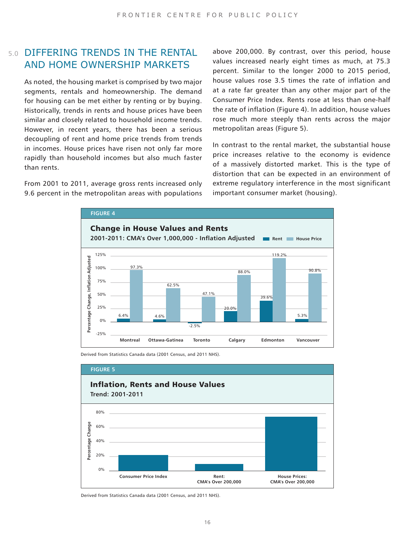## 5.0 DIFFERING TRENDS IN THE RENTAL AND HOME OWNERSHIP MARKETS

As noted, the housing market is comprised by two major segments, rentals and homeownership. The demand for housing can be met either by renting or by buying. Historically, trends in rents and house prices have been similar and closely related to household income trends. However, in recent years, there has been a serious decoupling of rent and home price trends from trends in incomes. House prices have risen not only far more rapidly than household incomes but also much faster than rents.

From 2001 to 2011, average gross rents increased only 9.6 percent in the metropolitan areas with populations

above 200,000. By contrast, over this period, house values increased nearly eight times as much, at 75.3 percent. Similar to the longer 2000 to 2015 period, house values rose 3.5 times the rate of inflation and at a rate far greater than any other major part of the Consumer Price Index. Rents rose at less than one-half the rate of inflation (Figure 4). In addition, house values rose much more steeply than rents across the major metropolitan areas (Figure 5).

In contrast to the rental market, the substantial house price increases relative to the economy is evidence of a massively distorted market. This is the type of distortion that can be expected in an environment of extreme regulatory interference in the most significant important consumer market (housing).



Derived from Statistics Canada data (2001 Census, and 2011 NHS).

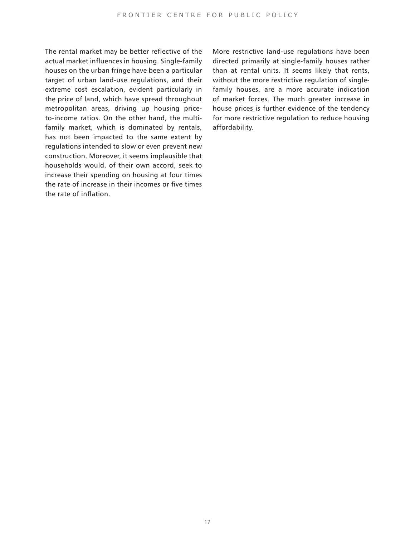The rental market may be better reflective of the actual market influences in housing. Single-family houses on the urban fringe have been a particular target of urban land-use regulations, and their extreme cost escalation, evident particularly in the price of land, which have spread throughout metropolitan areas, driving up housing priceto-income ratios. On the other hand, the multifamily market, which is dominated by rentals, has not been impacted to the same extent by regulations intended to slow or even prevent new construction. Moreover, it seems implausible that households would, of their own accord, seek to increase their spending on housing at four times the rate of increase in their incomes or five times the rate of inflation.

More restrictive land-use regulations have been directed primarily at single-family houses rather than at rental units. It seems likely that rents, without the more restrictive regulation of singlefamily houses, are a more accurate indication of market forces. The much greater increase in house prices is further evidence of the tendency for more restrictive regulation to reduce housing affordability.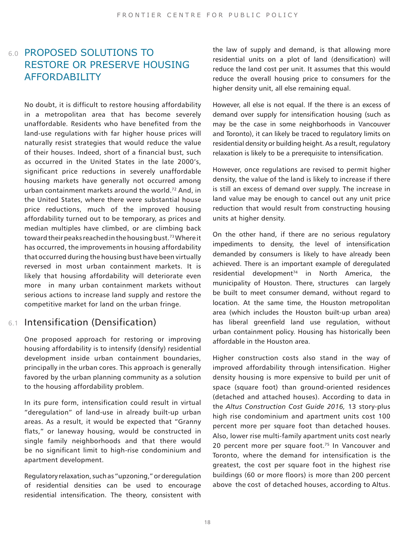## 6.0 PROPOSED SOLUTIONS TO RESTORE OR PRESERVE HOUSING AFFORDABILITY

<span id="page-17-1"></span><span id="page-17-0"></span>No doubt, it is difficult to restore housing affordability in a metropolitan area that has become severely unaffordable. Residents who have benefited from the land-use regulations with far higher house prices will naturally resist strategies that would reduce the value of their houses. Indeed, short of a financial bust, such as occurred in the United States in the late 2000's, significant price reductions in severely unaffordable housing markets have generally not occurred among urban containment markets around the world.[72](#page-25-0) And, in the United States, where there were substantial house price reductions, much of the improved housing affordability turned out to be temporary, as prices and median multiples have climbed, or are climbing back toward their peaks reached in the housing bust[.73](#page-25-1) Where it has occurred, the improvements in housing affordability that occurred during the housing bust have been virtually reversed in most urban containment markets. It is likely that housing affordability will deteriorate even more in many urban containment markets without serious actions to increase land supply and restore the competitive market for land on the urban fringe.

## 6.1 Intensification (Densification)

One proposed approach for restoring or improving housing affordability is to intensify (densify) residential development inside urban containment boundaries, principally in the urban cores. This approach is generally favored by the urban planning community as a solution to the housing affordability problem.

In its pure form, intensification could result in virtual "deregulation" of land-use in already built-up urban areas. As a result, it would be expected that "Granny flats," or laneway housing, would be constructed in single family neighborhoods and that there would be no significant limit to high-rise condominium and apartment development.

Regulatory relaxation, such as "upzoning," or deregulation of residential densities can be used to encourage residential intensification. The theory, consistent with

the law of supply and demand, is that allowing more residential units on a plot of land (densification) will reduce the land cost per unit. It assumes that this would reduce the overall housing price to consumers for the higher density unit, all else remaining equal.

However, all else is not equal. If the there is an excess of demand over supply for intensification housing (such as may be the case in some neighborhoods in Vancouver and Toronto), it can likely be traced to regulatory limits on residential density or building height. As a result, regulatory relaxation is likely to be a prerequisite to intensification.

However, once regulations are revised to permit higher density, the value of the land is likely to increase if there is still an excess of demand over supply. The increase in land value may be enough to cancel out any unit price reduction that would result from constructing housing units at higher density.

<span id="page-17-2"></span>On the other hand, if there are no serious regulatory impediments to density, the level of intensification demanded by consumers is likely to have already been achieved. There is an important example of deregulated residential development<sup>[74](#page-25-2)</sup> in North America, the municipality of Houston. There, structures can largely be built to meet consumer demand, without regard to location. At the same time, the Houston metropolitan area (which includes the Houston built-up urban area) has liberal greenfield land use regulation, without urban containment policy. Housing has historically been affordable in the Houston area.

<span id="page-17-3"></span>Higher construction costs also stand in the way of improved affordability through intensification. Higher density housing is more expensive to build per unit of space (square foot) than ground-oriented residences (detached and attached houses). According to data in the *Altus Construction Cost Guide 2016,* 13 story-plus high rise condominium and apartment units cost 100 percent more per square foot than detached houses. Also, lower rise multi-family apartment units cost nearly 20 percent more per square foot.<sup>75</sup> In Vancouver and Toronto, where the demand for intensification is the greatest, the cost per square foot in the highest rise buildings (60 or more floors) is more than 200 percent above the cost of detached houses, according to Altus.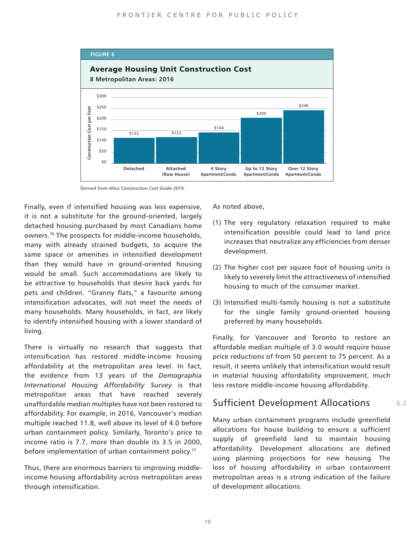

<span id="page-18-0"></span>Finally, even if intensified housing was less expensive, it is not a substitute for the ground-oriented, largely detached housing purchased by most Canadians home owners[.76](#page-25-4) The prospects for middle-income households, many with already strained budgets, to acquire the same space or amenities in intensified development than they would have in ground-oriented housing would be small. Such accommodations are likely to be attractive to households that desire back yards for pets and children. "Granny flats," a favourite among intensification advocates, will not meet the needs of many households. Many households, in fact, are likely to identify intensified housing with a lower standard of living.

<span id="page-18-1"></span>There is virtually no research that suggests that intensification has restored middle-income housing affordability at the metropolitan area level. In fact, the evidence from 13 years of the *Demographia International Housing Affordability Survey* is that metropolitan areas that have reached severely unaffordable median multiples have not been restored to affordability. For example, in 2016, Vancouver's median multiple reached 11.8, well above its level of 4.0 before urban containment policy. Similarly, Toronto's price to income ratio is 7.7, more than double its 3.5 in 2000, before implementation of urban containment policy.<sup>[77](#page-25-5)</sup>

Thus, there are enormous barriers to improving middleincome housing affordability across metropolitan areas through intensification.

As noted above,

- (1) The very regulatory relaxation required to make intensification possible could lead to land price increases that neutralize any efficiencies from denser development.
- (2) The higher cost per square foot of housing units is likely to severely limit the attractiveness of intensified housing to much of the consumer market.
- (3) Intensified multi-family housing is not a substitute for the single family ground-oriented housing preferred by many households.

Finally, for Vancouver and Toronto to restore an affordable median multiple of 3.0 would require house price reductions of from 50 percent to 75 percent. As a result, it seems unlikely that intensification would result in material housing affordability improvement, much less restore middle-income housing affordability.

## Sufficient Development Allocations

6.2

Many urban containment programs include greenfield allocations for house building to ensure a sufficient supply of greenfield land to maintain housing affordability. Development allocations are defined using planning projections for new housing. The loss of housing affordability in urban containment metropolitan areas is a strong indication of the failure of development allocations.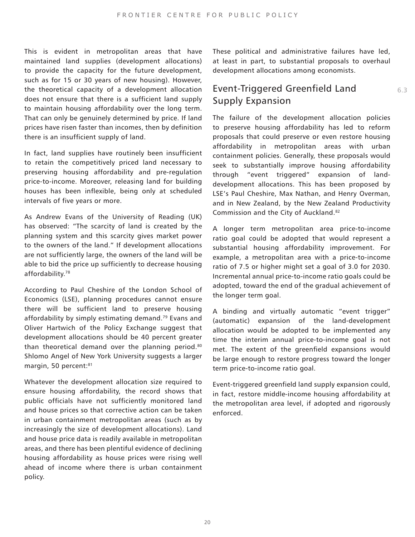This is evident in metropolitan areas that have maintained land supplies (development allocations) to provide the capacity for the future development, such as for 15 or 30 years of new housing). However, the theoretical capacity of a development allocation does not ensure that there is a sufficient land supply to maintain housing affordability over the long term. That can only be genuinely determined by price. If land prices have risen faster than incomes, then by definition there is an insufficient supply of land.

In fact, land supplies have routinely been insufficient to retain the competitively priced land necessary to preserving housing affordability and pre-regulation price-to-income. Moreover, releasing land for building houses has been inflexible, being only at scheduled intervals of five years or more.

<span id="page-19-0"></span>As Andrew Evans of the University of Reading (UK) has observed: "The scarcity of land is created by the planning system and this scarcity gives market power to the owners of the land." If development allocations are not sufficiently large, the owners of the land will be able to bid the price up sufficiently to decrease housing affordability.[78](#page-25-6)

<span id="page-19-2"></span><span id="page-19-1"></span>According to Paul Cheshire of the London School of Economics (LSE), planning procedures cannot ensure there will be sufficient land to preserve housing affordability by simply estimating demand.<sup>79</sup> Evans and Oliver Hartwich of the Policy Exchange suggest that development allocations should be 40 percent greater than theoretical demand over the planning period.<sup>[80](#page-25-8)</sup> Shlomo Angel of New York University suggests a larger margin, 50 percent:<sup>[81](#page-25-9)</sup>

Whatever the development allocation size required to ensure housing affordability, the record shows that public officials have not sufficiently monitored land and house prices so that corrective action can be taken in urban containment metropolitan areas (such as by increasingly the size of development allocations). Land and house price data is readily available in metropolitan areas, and there has been plentiful evidence of declining housing affordability as house prices were rising well ahead of income where there is urban containment policy.

These political and administrative failures have led, at least in part, to substantial proposals to overhaul development allocations among economists.

## Event-Triggered Greenfield Land Supply Expansion

<span id="page-19-3"></span>The failure of the development allocation policies to preserve housing affordability has led to reform proposals that could preserve or even restore housing affordability in metropolitan areas with urban containment policies. Generally, these proposals would seek to substantially improve housing affordability through "event triggered" expansion of landdevelopment allocations. This has been proposed by LSE's Paul Cheshire, Max Nathan, and Henry Overman, and in New Zealand, by the New Zealand Productivity Commission and the City of Auckland.<sup>[82](#page-25-10)</sup>

A longer term metropolitan area price-to-income ratio goal could be adopted that would represent a substantial housing affordability improvement. For example, a metropolitan area with a price-to-income ratio of 7.5 or higher might set a goal of 3.0 for 2030. Incremental annual price-to-income ratio goals could be adopted, toward the end of the gradual achievement of the longer term goal.

A binding and virtually automatic "event trigger" (automatic) expansion of the land-development allocation would be adopted to be implemented any time the interim annual price-to-income goal is not met. The extent of the greenfield expansions would be large enough to restore progress toward the longer term price-to-income ratio goal.

Event-triggered greenfield land supply expansion could, in fact, restore middle-income housing affordability at the metropolitan area level, if adopted and rigorously enforced.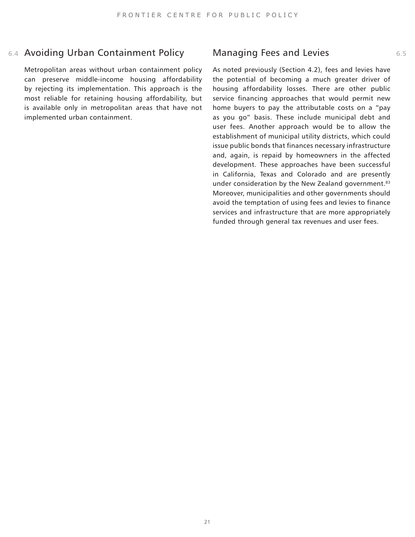## 6.4 Avoiding Urban Containment Policy Managing Fees and Levies **6.5** 6.5

Metropolitan areas without urban containment policy can preserve middle-income housing affordability by rejecting its implementation. This approach is the most reliable for retaining housing affordability, but is available only in metropolitan areas that have not implemented urban containment.

<span id="page-20-0"></span>As noted previously (Section 4.2), fees and levies have the potential of becoming a much greater driver of housing affordability losses. There are other public service financing approaches that would permit new home buyers to pay the attributable costs on a "pay as you go" basis. These include municipal debt and user fees. Another approach would be to allow the establishment of municipal utility districts, which could issue public bonds that finances necessary infrastructure and, again, is repaid by homeowners in the affected development. These approaches have been successful in California, Texas and Colorado and are presently under consideration by the New Zealand government.<sup>[83](#page-25-11)</sup> Moreover, municipalities and other governments should avoid the temptation of using fees and levies to finance services and infrastructure that are more appropriately funded through general tax revenues and user fees.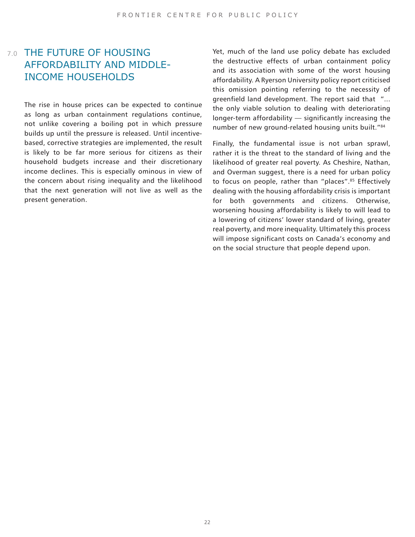## AFFORDABILITY AND MIDDLE-INCOME HOUSEHOLDS

The rise in house prices can be expected to continue as long as urban containment regulations continue, not unlike covering a boiling pot in which pressure builds up until the pressure is released. Until incentivebased, corrective strategies are implemented, the result is likely to be far more serious for citizens as their household budgets increase and their discretionary income declines. This is especially ominous in view of the concern about rising inequality and the likelihood that the next generation will not live as well as the present generation.

7.0 THE FUTURE OF HOUSING The Mate that of the land use policy debate has excluded the destructive effects of urban containment policy and its association with some of the worst housing affordability. A Ryerson University policy report criticised this omission pointing referring to the necessity of greenfield land development. The report said that "... the only viable solution to dealing with deteriorating longer-term affordability — significantly increasing the number of new ground-related housing units built."[84](#page-25-12)

> <span id="page-21-1"></span><span id="page-21-0"></span>Finally, the fundamental issue is not urban sprawl, rather it is the threat to the standard of living and the likelihood of greater real poverty. As Cheshire, Nathan, and Overman suggest, there is a need for urban policy to focus on people, rather than "places".<sup>[85](#page-25-13)</sup> Effectively dealing with the housing affordability crisis is important for both governments and citizens. Otherwise, worsening housing affordability is likely to will lead to a lowering of citizens' lower standard of living, greater real poverty, and more inequality. Ultimately this process will impose significant costs on Canada's economy and on the social structure that people depend upon.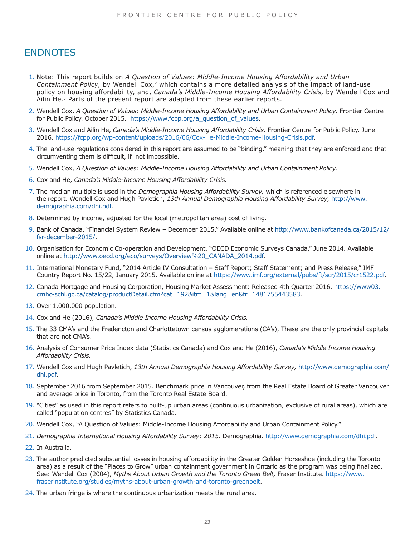## **ENDNOTES**

- <span id="page-22-0"></span>[1.](#page-5-0) Note: This report builds on *A Question of Values: Middle-Income Housing Affordability and Urban Containment Policy,* by Wendell Cox,<sup>2</sup> which contains a more detailed analysis of the impact of land-use policy on housing affordability, and, *Canada's Middle-Income Housing Affordability Crisis,* by Wendell Cox and Ailin He.<sup>3</sup> Parts of the present report are adapted from these earlier reports.
- <span id="page-22-1"></span>[2.](#page-5-0) Wendell Cox, *A Question of Values: Middle-Income Housing Affordability and Urban Containment Policy.* Frontier Centre for Public Policy. October 2015. https://www.fcpp.org/a\_question\_of\_values.
- <span id="page-22-2"></span> [3.](#page-5-0) Wendell Cox and Ailin He, *Canada's Middle-Income Housing Affordability Crisis.* Frontier Centre for Public Policy. June 2016. https://fcpp.org/wp-content/uploads/2016/06/Cox-He-Middle-Income-Housing-Crisis.pdf.
- <span id="page-22-3"></span> [4.](#page-5-0) The land-use regulations considered in this report are assumed to be "binding," meaning that they are enforced and that circumventing them is difficult, if not impossible.
- <span id="page-22-4"></span>[5.](#page-5-1) Wendell Cox, *A Question of Values: Middle-Income Housing Affordability and Urban Containment Policy.*
- <span id="page-22-5"></span>[6.](#page-5-2) Cox and He, *Canada's Middle-Income Housing Affordability Crisis.*
- <span id="page-22-6"></span> [7.](#page-5-3) The median multiple is used in the *Demographia Housing Affordability Survey,* which is referenced elsewhere in the report. Wendell Cox and Hugh Pavletich, *13th Annual Demographia Housing Affordability Survey,* http://www. demographia.com/dhi.pdf.
- <span id="page-22-7"></span>[8.](#page-6-0) Determined by income, adjusted for the local (metropolitan area) cost of living.
- <span id="page-22-8"></span>[9.](#page-6-1) Bank of Canada, "Financial System Review – December 2015." Available online at http://www.bankofcanada.ca/2015/12/ fsr-december-2015/.
- <span id="page-22-9"></span>[10.](#page-6-2) Organisation for Economic Co-operation and Development, "OECD Economic Surveys Canada," June 2014. Available online at http://www.oecd.org/eco/surveys/Overview%20\_CANADA\_2014.pdf.
- <span id="page-22-10"></span>[11.](#page-6-3) International Monetary Fund, "2014 Article IV Consultation – Staff Report; Staff Statement; and Press Release," IMF Country Report No. 15/22, January 2015. Available online at https://www.imf.org/external/pubs/ft/scr/2015/cr1522.pdf.
- <span id="page-22-11"></span>[12.](#page-6-4) Canada Mortgage and Housing Corporation, Housing Market Assessment: Released 4th Quarter 2016. https://www03. cmhc-schl.gc.ca/catalog/productDetail.cfm?cat=192&itm=1&lang=en&fr=1481755443583.
- <span id="page-22-12"></span>[13.](#page-6-5) Over 1,000,000 population.
- <span id="page-22-13"></span>[14.](#page-6-6) Cox and He (2016), *Canada's Middle Income Housing Affordability Crisis.*
- <span id="page-22-14"></span>[15.](#page-6-7) The 33 CMA's and the Fredericton and Charlottetown census agglomerations (CA's), These are the only provincial capitals that are not CMA's.
- <span id="page-22-15"></span>[16.](#page-6-8) Analysis of Consumer Price Index data (Statistics Canada) and Cox and He (2016), *Canada's Middle Income Housing Affordability Crisis.*
- <span id="page-22-16"></span>[17.](#page-7-0) Wendell Cox and Hugh Pavletich, *13th Annual Demographia Housing Affordability Survey,* http://www.demographia.com/ dhi.pdf.
- <span id="page-22-17"></span>[18.](#page-7-1) September 2016 from September 2015. Benchmark price in Vancouver, from the Real Estate Board of Greater Vancouver and average price in Toronto, from the Toronto Real Estate Board.
- <span id="page-22-18"></span>[19.](#page-8-0) "Cities" as used in this report refers to built-up urban areas (continuous urbanization, exclusive of rural areas), which are called "population centres" by Statistics Canada.
- <span id="page-22-19"></span>[20.](#page-8-1) Wendell Cox, "A Question of Values: Middle-Income Housing Affordability and Urban Containment Policy."
- <span id="page-22-20"></span>[21.](#page-8-2) *Demographia International Housing Affordability Survey: 2015.* Demographia. http://www.demographia.com/dhi.pdf.
- <span id="page-22-21"></span>[22.](#page-8-3) In Australia.
- <span id="page-22-22"></span>[23.](#page-8-4) The author predicted substantial losses in housing affordability in the Greater Golden Horseshoe (including the Toronto area) as a result of the "Places to Grow" urban containment government in Ontario as the program was being finalized. See: Wendell Cox (2004), *Myths About Urban Growth and the Toronto Green Belt,* Fraser Institute. https://www. fraserinstitute.org/studies/myths-about-urban-growth-and-toronto-greenbelt.
- <span id="page-22-23"></span>[24.](#page-8-5) The urban fringe is where the continuous urbanization meets the rural area.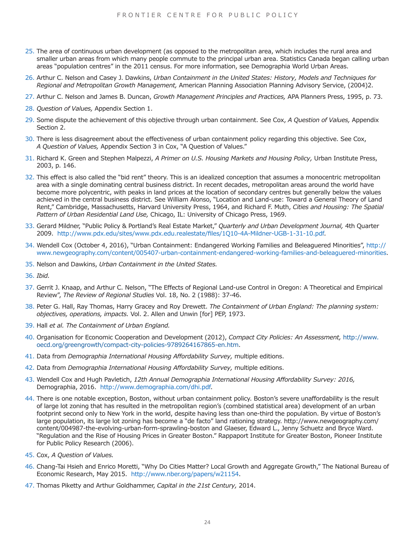- <span id="page-23-0"></span>[25.](#page-8-6) The area of continuous urban development (as opposed to the metropolitan area, which includes the rural area and smaller urban areas from which many people commute to the principal urban area. Statistics Canada began calling urban areas "population centres" in the 2011 census. For more information, see Demographia World Urban Areas.
- <span id="page-23-1"></span>[26.](#page-9-0) Arthur C. Nelson and Casey J. Dawkins, *Urban Containment in the United States: History, Models and Techniques for Regional and Metropolitan Growth Management,* American Planning Association Planning Advisory Service, (2004)2.
- <span id="page-23-2"></span>[27.](#page-9-1) Arthur C. Nelson and James B. Duncan, *Growth Management Principles and Practices,* APA Planners Press, 1995, p. 73.
- <span id="page-23-3"></span>[28.](#page-9-2) *Question of Values,* Appendix Section 1.
- <span id="page-23-4"></span>[29.](#page-9-3) Some dispute the achievement of this objective through urban containment. See Cox, *A Question of Values,* Appendix Section 2.
- <span id="page-23-5"></span>[30.](#page-9-4) There is less disagreement about the effectiveness of urban containment policy regarding this objective. See Cox, *A Question of Values,* Appendix Section 3 in Cox, "A Question of Values."
- <span id="page-23-6"></span>[31.](#page-9-5) Richard K. Green and Stephen Malpezzi, *A Primer on U.S. Housing Markets and Housing Policy,* Urban Institute Press, 2003, p. 146.
- <span id="page-23-7"></span>[32.](#page-9-6) This effect is also called the "bid rent" theory. This is an idealized conception that assumes a monocentric metropolitan area with a single dominating central business district. In recent decades, metropolitan areas around the world have become more polycentric, with peaks in land prices at the location of secondary centres but generally below the values achieved in the central business district. See William Alonso, "Location and Land-use: Toward a General Theory of Land Rent," Cambridge, Massachusetts, Harvard University Press, 1964, and Richard F. Muth, *Cities and Housing: The Spatial Pattern of Urban Residential Land Use,* Chicago, IL: University of Chicago Press, 1969.
- <span id="page-23-8"></span>[33.](#page-9-7) Gerard Mildner, "Public Policy & Portland's Real Estate Market," *Quarterly and Urban Development Journal,* 4th Quarter 2009. http://www.pdx.edu/sites/www.pdx.edu.realestate/files/1Q10-4A-Mildner-UGB-1-31-10.pdf.
- <span id="page-23-9"></span>[34.](#page-9-8) Wendell Cox (October 4, 2016), "Urban Containment: Endangered Working Families and Beleaguered Minorities", http:// www.newgeography.com/content/005407-urban-containment-endangered-working-families-and-beleaguered-minorities.
- <span id="page-23-12"></span>[35.](#page-10-0) Nelson and Dawkins, *Urban Containment in the United States.*
- <span id="page-23-13"></span>[36.](#page-10-1) *Ibid.*
- <span id="page-23-14"></span>[37.](#page-10-2) Gerrit J. Knaap, and Arthur C. Nelson, "The Effects of Regional Land-use Control in Oregon: A Theoretical and Empirical Review", *The Review of Regional Studies* Vol. 18, No. 2 (1988): 37-46.
- <span id="page-23-15"></span>[38.](#page-10-3) Peter G. Hall, Ray Thomas, Harry Gracey and Roy Drewett. *The Containment of Urban England: The planning system: objectives, operations, impacts.* Vol. 2. Allen and Unwin [for] PEP, 1973.
- <span id="page-23-16"></span>[39.](#page-10-4) Hall *et al. The Containment of Urban England.*
- <span id="page-23-10"></span>[40.](#page-10-5) Organisation for Economic Cooperation and Development (2012), *Compact City Policies: An Assessment,* http://www. oecd.org/greengrowth/compact-city-policies-9789264167865-en.htm.
- [41.](#page-10-6) Data from *Demographia International Housing Affordability Survey,* multiple editions.
- <span id="page-23-11"></span>[42.](#page-10-7) Data from *Demographia International Housing Affordability Survey,* multiple editions.
- <span id="page-23-17"></span>[43.](#page-11-0) Wendell Cox and Hugh Pavletich, *12th Annual Demographia International Housing Affordability Survey: 2016,* Demographia, 2016. http://www.demographia.com/dhi.pdf.
- <span id="page-23-18"></span>[44.](#page-11-1) There is one notable exception, Boston, without urban containment policy. Boston's severe unaffordability is the result of large lot zoning that has resulted in the metropolitan region's (combined statistical area) development of an urban footprint second only to New York in the world, despite having less than one-third the population. By virtue of Boston's large population, its large lot zoning has become a "de facto" land rationing strategy. http://www.newgeography.com/ content/004987-the-evolving-urban-form-sprawling-boston and Glaeser, Edward L., Jenny Schuetz and Bryce Ward. "Regulation and the Rise of Housing Prices in Greater Boston." Rappaport Institute for Greater Boston, Pioneer Institute for Public Policy Research (2006).
- <span id="page-23-19"></span>[45.](#page-11-2) Cox, *A Question of Values.*
- <span id="page-23-20"></span>[46.](#page-11-3) Chang-Tai Hsieh and Enrico Moretti, "Why Do Cities Matter? Local Growth and Aggregate Growth," The National Bureau of Economic Research, May 2015. http://www.nber.org/papers/w21154.
- <span id="page-23-21"></span>[47.](#page-11-4) Thomas Piketty and Arthur Goldhammer, *Capital in the 21st Century,* 2014.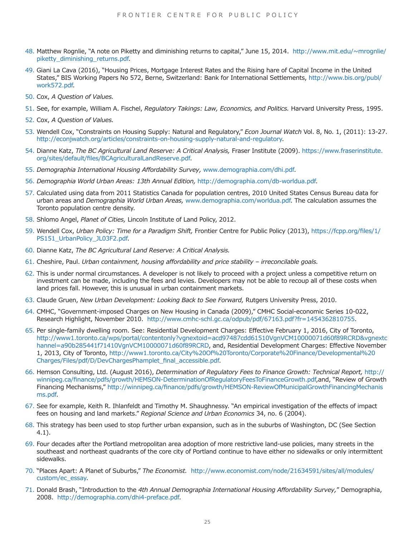- <span id="page-24-0"></span>[48.](#page-11-5) Matthew Rognlie, "A note on Piketty and diminishing returns to capital," June 15, 2014. http://www.mit.edu/~mrognlie/ piketty diminishing returns.pdf.
- <span id="page-24-1"></span>[49.](#page-11-6) Giani La Cava (2016), "Housing Prices, Mortgage Interest Rates and the Rising hare of Capital Income in the United States," BIS Working Papers No 572, Berne, Switzerland: Bank for International Settlements, http://www.bis.org/publ/ work572.pdf.
- <span id="page-24-2"></span>[50.](#page-12-0) Cox, *A Question of Values.*
- <span id="page-24-3"></span>[51.](#page-12-1) See, for example, William A. Fischel, *Regulatory Takings: Law, Economics, and Politics.* Harvard University Press, 1995.
- <span id="page-24-4"></span>[52.](#page-12-2) Cox, *A Question of Values.*
- <span id="page-24-5"></span>[53.](#page-12-3) Wendell Cox, "Constraints on Housing Supply: Natural and Regulatory," *Econ Journal Watch* Vol. 8, No. 1, (2011): 13-27. http://econjwatch.org/articles/constraints-on-housing-supply-natural-and-regulatory.
- <span id="page-24-6"></span>[54.](#page-12-4) Dianne Katz, *The BC Agricultural Land Reserve: A Critical Analysis,* Fraser Institute (2009). https://www.fraserinstitute. org/sites/default/files/BCAgriculturalLandReserve.pdf.
- <span id="page-24-7"></span>[55.](#page-12-5) *Demographia International Housing Affordability Survey,* www.demographia.com/dhi.pdf.
- <span id="page-24-8"></span>[56.](#page-12-6) *Demographia World Urban Areas: 13th Annual Edition,* http://demographia.com/db-worldua.pdf.
- <span id="page-24-9"></span>[57.](#page-12-7) Calculated using data from 2011 Statistics Canada for population centres, 2010 United States Census Bureau data for urban areas and *Demographia World Urban Areas,* www.demographia.com/worldua.pdf. The calculation assumes the Toronto population centre density.
- <span id="page-24-10"></span>[58.](#page-12-8) Shlomo Angel, *Planet of Cities,* Lincoln Institute of Land Policy, 2012.
- <span id="page-24-11"></span>[59.](#page-12-9) Wendell Cox, *Urban Policy: Time for a Paradigm Shift,* Frontier Centre for Public Policy (2013), https://fcpp.org/files/1/ PS151\_UrbanPolicy\_JL03F2.pdf.
- <span id="page-24-12"></span>[60.](#page-12-10) Dianne Katz, *The BC Agricultural Land Reserve: A Critical Analysis.*
- <span id="page-24-13"></span>[61.](#page-13-0) Cheshire, Paul. *Urban containment, housing affordability and price stability – irreconcilable goals.*
- <span id="page-24-14"></span>[62.](#page-13-1) This is under normal circumstances. A developer is not likely to proceed with a project unless a competitive return on investment can be made, including the fees and levies. Developers may not be able to recoup all of these costs when land prices fall. However, this is unusual in urban containment markets.
- <span id="page-24-15"></span>[63.](#page-13-2) Claude Gruen, *New Urban Development: Looking Back to See Forward,* Rutgers University Press, 2010.
- <span id="page-24-16"></span>[64.](#page-13-3) CMHC, "Government-imposed Charges on New Housing in Canada (2009)," CMHC Social-economic Series 10-022, Research Highlight, November 2010. http://www.cmhc-schl.gc.ca/odpub/pdf/67163.pdf?fr=1454362810755.
- <span id="page-24-17"></span>[65.](#page-13-4) Per single-family dwelling room. See: Residential Development Charges: Effective February 1, 2016, City of Toronto, http://www1.toronto.ca/wps/portal/contentonly?vgnextoid=acd97487cdd61510VgnVCM10000071d60f89RCRD&vgnextc hannel=a90b285441f71410VgnVCM10000071d60f89RCRD, and, Residential Development Charges: Effective November 1, 2013, City of Toronto, http://www1.toronto.ca/City%20Of%20Toronto/Corporate%20Finance/Developmental%20 Charges/Files/pdf/D/DevChargesPhamplet\_final\_accessible.pdf.
- <span id="page-24-18"></span>[66.](#page-13-5) Hemson Consulting, Ltd. (August 2016), *Determination of Regulatory Fees to Finance Growth: Technical Report,* http:// winnipeg.ca/finance/pdfs/growth/HEMSON-DeterminationOfRegulatoryFeesToFinanceGrowth.pdf,and, "Review of Growth Financing Mechanisms," http://winnipeg.ca/finance/pdfs/growth/HEMSON-ReviewOfMunicipalGrowthFinancingMechanis ms.pdf.
- <span id="page-24-19"></span>[67.](#page-14-0) See for example, Keith R. Ihlanfeldt and Timothy M. Shaughnessy. "An empirical investigation of the effects of impact fees on housing and land markets." *Regional Science and Urban Economics* 34, no. 6 (2004).
- <span id="page-24-20"></span>[68.](#page-14-1) This strategy has been used to stop further urban expansion, such as in the suburbs of Washington, DC (See Section 4.1).
- <span id="page-24-21"></span>[69.](#page-14-2) Four decades after the Portland metropolitan area adoption of more restrictive land-use policies, many streets in the southeast and northeast quadrants of the core city of Portland continue to have either no sidewalks or only intermittent sidewalks.
- <span id="page-24-22"></span>[70.](#page-14-3) "Places Apart: A Planet of Suburbs," *The Economist.* http://www.economist.com/node/21634591/sites/all/modules/ custom/ec\_essay.
- <span id="page-24-23"></span>[71.](#page-14-4) Donald Brash, "Introduction to the *4th Annual Demographia International Housing Affordability Survey,*" Demographia, 2008. http://demographia.com/dhi4-preface.pdf.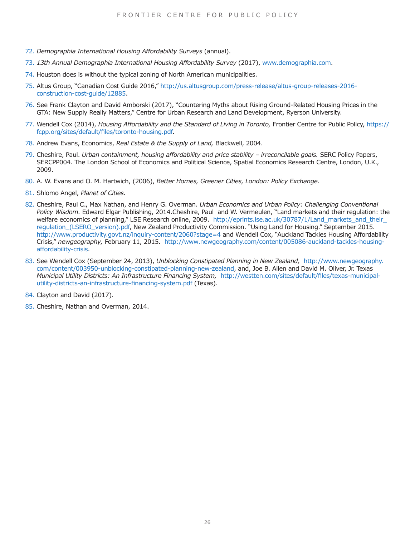- <span id="page-25-0"></span>[72.](#page-17-0) *Demographia International Housing Affordability Surveys* (annual).
- <span id="page-25-1"></span>[73.](#page-17-1) *13th Annual Demographia International Housing Affordability Survey* (2017), www.demographia.com.
- <span id="page-25-2"></span>[74.](#page-17-2) Houston does is without the typical zoning of North American municipalities.
- <span id="page-25-3"></span>[75.](#page-17-3) Altus Group, "Canadian Cost Guide 2016," http://us.altusgroup.com/press-release/altus-group-releases-2016 construction-cost-guide/12885.
- <span id="page-25-4"></span>[76.](#page-18-0) See Frank Clayton and David Amborski (2017), "Countering Myths about Rising Ground-Related Housing Prices in the GTA: New Supply Really Matters," Centre for Urban Research and Land Development, Ryerson University.
- <span id="page-25-5"></span>[77.](#page-18-1) Wendell Cox (2014), *Housing Affordability and the Standard of Living in Toronto,* Frontier Centre for Public Policy, https:// fcpp.org/sites/default/files/toronto-housing.pdf.
- <span id="page-25-6"></span>[78.](#page-19-0) Andrew Evans, Economics, *Real Estate & the Supply of Land,* Blackwell, 2004.
- <span id="page-25-7"></span>[79.](#page-19-1) Cheshire, Paul. *Urban containment, housing affordability and price stability – irreconcilable goals.* SERC Policy Papers, SERCPP004. The London School of Economics and Political Science, Spatial Economics Research Centre, London, U.K., 2009.
- <span id="page-25-8"></span>[80.](#page-19-2) A. W. Evans and O. M. Hartwich, (2006), *Better Homes, Greener Cities, London: Policy Exchange.*
- <span id="page-25-9"></span>[81.](#page-19-2) Shlomo Angel, *Planet of Cities.*
- <span id="page-25-10"></span>[82.](#page-19-3) Cheshire, Paul C., Max Nathan, and Henry G. Overman. *Urban Economics and Urban Policy: Challenging Conventional Policy Wisdom.* Edward Elgar Publishing, 2014.Cheshire, Paul and W. Vermeulen, "Land markets and their regulation: the welfare economics of planning," LSE Research online, 2009. http://eprints.lse.ac.uk/30787/1/Land\_markets\_and\_their\_ regulation (LSERO\_version).pdf, New Zealand Productivity Commission. "Using Land for Housing." September 2015. http://www.productivity.govt.nz/inquiry-content/2060?stage=4 and Wendell Cox, "Auckland Tackles Housing Affordability Crisis," *newgeography,* February 11, 2015. http://www.newgeography.com/content/005086-auckland-tackles-housingaffordability-crisis.
- <span id="page-25-11"></span>[83.](#page-20-0) See Wendell Cox (September 24, 2013), *Unblocking Constipated Planning in New Zealand,* [http://www.newgeography.](http://www.newgeography.com/content/003950-unblocking-constipated-planning-new-zealand,) [com/content/003950-unblocking-constipated-planning-new-zealand](http://www.newgeography.com/content/003950-unblocking-constipated-planning-new-zealand,), and, Joe B. Allen and David M. Oliver, Jr. Texas *Municipal Utility Districts: An Infrastructure Financing System,* http://westten.com/sites/default/files/texas-municipalutility-districts-an-infrastructure-financing-system.pdf (Texas).
- <span id="page-25-12"></span>[84.](#page-21-0) Clayton and David (2017).
- <span id="page-25-13"></span>[85.](#page-21-1) Cheshire, Nathan and Overman, 2014.